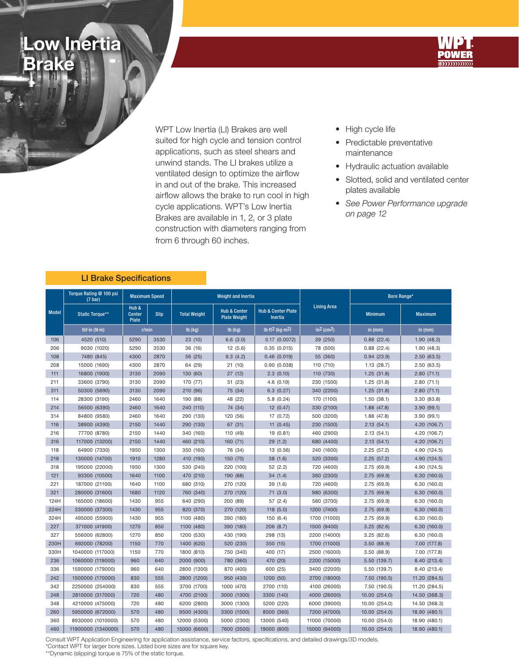## ow Inertia Brake



WPT Low Inertia (LI) Brakes are well suited for high cycle and tension control applications, such as steel shears and unwind stands. The LI brakes utilize a ventilated design to optimize the airflow in and out of the brake. This increased airflow allows the brake to run cool in high cycle applications. WPT's Low Inertia Brakes are available in 1, 2, or 3 plate construction with diameters ranging from from 6 through 60 inches.

- High cycle life
- Predictable preventative maintenance
- Hydraulic actuation available
- Slotted, solid and ventilated center plates available
- See Power Performance upgrade on page 12

|              | Torque Rating @ 100 psi<br>(7 <sub>bar</sub> ) |                                        | <b>Maximum Speed</b> |                                                                       | <b>Weight and Inertia</b> |                                                 |                    | Bore Range*    |                |  |
|--------------|------------------------------------------------|----------------------------------------|----------------------|-----------------------------------------------------------------------|---------------------------|-------------------------------------------------|--------------------|----------------|----------------|--|
| <b>Model</b> | <b>Static Torque**</b>                         | Hub &<br><b>Center</b><br><b>Plate</b> | <b>Slip</b>          | <b>Hub &amp; Center</b><br><b>Total Weight</b><br><b>Plate Weight</b> |                           | <b>Hub &amp; Center Plate</b><br><b>Inertia</b> | <b>Lining Area</b> | <b>Minimum</b> | <b>Maximum</b> |  |
|              | Ibf-in $(N \cdot m)$                           | r/min                                  |                      | $Ib$ (kg)                                                             | $Ib$ (kg)                 | $Ib$ -ft <sup>2</sup> (kg·m <sup>2</sup> )      | $in2$ (cm2)        | in $(mm)$      | in $(mm)$      |  |
| 106          | 4520 (510)                                     | 5290                                   | 3530                 | 23 (10)                                                               | 6.6(3.0)                  | $0.17$ $(0.0072)$                               | 39 (250)           | 0.88(22.4)     | 1.90(48.3)     |  |
| 206          | 9030 (1020)                                    | 5290                                   | 3530                 | 36 (16)                                                               | 12(5.6)                   | 0.35(0.015)                                     | 78 (500)           | 0.88(22.4)     | 1.90(48.3)     |  |
| 108          | 7480 (845)                                     | 4300                                   | 2870                 | 56 (25)                                                               | 9.3(4.2)                  | 0.46(0.019)                                     | 55 (360)           | 0.94(23.9)     | 2.50(63.5)     |  |
| 208          | 15000 (1690)                                   | 4300                                   | 2870                 | 64 (29)                                                               | 21 (10)                   | 0.90(0.038)                                     | 110 (710)          | 1.13(28.7)     | 2.50(63.5)     |  |
| 111          | 16800 (1900)                                   | 3130                                   | 2090                 | 130 (60)                                                              | 27(12)                    | 2.3(0.10)                                       | 110 (730)          | 1.25(31.8)     | 2.80(71.1)     |  |
| 211          | 33600 (3790)                                   | 3130                                   | 2090                 | 170 (77)                                                              | 51 (23)                   | 4.6 (0.19)                                      | 230 (1500)         | 1.25(31.8)     | 2.80(71.1)     |  |
| 311          | 50300 (5690)                                   | 3130                                   | 2090                 | 210 (96)                                                              | 75 (34)                   | 6.3(0.27)                                       | 340 (2200)         | 1.25(31.8)     | 2.80(71.1)     |  |
| 114          | 28300 (3190)                                   | 2460                                   | 1640                 | 190 (88)                                                              | 48 (22)                   | 5.8 (0.24)                                      | 170 (1100)         | 1.50(38.1)     | 3.30 (83.8)    |  |
| 214          | 56500 (6390)                                   | 2460                                   | 1640                 | 240 (110)                                                             | 74 (34)                   | 12(0.47)                                        | 330 (2100)         | 1.88(47.8)     | 3.90(99.1)     |  |
| 314          | 84800 (9580)                                   | 2460                                   | 1640                 | 290 (130)                                                             | 120 (56)                  | 17 (0.72)                                       | 500 (3200)         | 1.88(47.8)     | 3.90 (99.1)    |  |
| 116          | 38900 (4390)                                   | 2150                                   | 1440                 | 290 (130)                                                             | 67 (31)                   | 11(0.45)                                        | 230 (1500)         | 2.13(54.1)     | 4.20 (106.7)   |  |
| 216          | 77700 (8780)                                   | 2150                                   | 1440                 | 340 (160)                                                             | 110 (49)                  | 19 (0.81)                                       | 460 (2900)         | 2.13(54.1)     | 4.20 (106.7)   |  |
| 316          | 117000 (13200)                                 | 2150                                   | 1440                 | 460 (210)                                                             | 160(71)                   | 29(1.2)                                         | 680 (4400)         | 2.13(54.1)     | 4.20 (106.7)   |  |
| 118          | 64900 (7330)                                   | 1950                                   | 1300                 | 350 (160)                                                             | 76 (34)                   | 13 (0.56)                                       | 240 (1600)         | 2.25(57.2)     | 4.90 (124.5)   |  |
| 218          | 130000 (14700)                                 | 1910                                   | 1280                 | 410 (190)                                                             | 150 (70)                  | 38 (1.6)                                        | 520 (3300)         | 2.25(57.2)     | 4.90 (124.5)   |  |
| 318          | 195000 (22000)                                 | 1950                                   | 1300                 | 530 (240)                                                             | 220 (100)                 | 52 (2.2)                                        | 720 (4600)         | 2.75 (69.9)    | 4.90 (124.5)   |  |
| 121          | 93300 (10500)                                  | 1640                                   | 1100                 | 470 (210)                                                             | 190 (88)                  | 34(1.4)                                         | 360 (2300)         | 2.75(69.9)     | 6.30 (160.0)   |  |
| 221          | 187000 (21100)                                 | 1640                                   | 1100                 | 680 (310)                                                             | 270 (120)                 | 39 (1.6)                                        | 720 (4600)         | 2.75(69.9)     | 6.30 (160.0)   |  |
| 321          | 280000 (31600)                                 | 1680                                   | 1120                 | 760 (340)                                                             | 270 (120)                 | 71(3.0)                                         | 980 (6300)         | 2.75(69.9)     | 6.30(160.0)    |  |
| 124H         | 165000 (18600)                                 | 1430                                   | 955                  | 640 (290)                                                             | 200 (89)                  | 57 (2.4)                                        | 580 (3700)         | 2.75 (69.9)    | 6.30 (160.0)   |  |
| 224H         | 330000 (37300)                                 | 1430                                   | 955                  | 820 (370)                                                             | 270<br>(120)              | 118 (5.0)                                       | 1200 (7400)        | 2.75 (69.9)    | 6.30(160.0)    |  |
| 324H         | 495000 (55900)                                 | 1430                                   | 955                  | 1100 (480)                                                            | 390 (180)                 | 150 (6.4)                                       | 1700 (11000)       | 2.75 (69.9)    | 6.30 (160.0)   |  |
| 227          | 371000 (41900)                                 | 1270                                   | 850                  | 1100 (480)                                                            | 390 (180)                 | 206(8.7)                                        | 1500 (9400)        | 3.25(82.6)     | 6.30(160.0)    |  |
| 327          | 556000 (62800)                                 | 1270                                   | 850                  | 1200 (530)                                                            | 430 (190)                 | 298 (13)                                        | 2200 (14000)       | 3.25(82.6)     | 6.30 (160.0)   |  |
| 230H         | 692000 (78200)                                 | 1150                                   | 770                  | 1400 (620)                                                            | 520 (230)                 | 350 (15)                                        | 1700 (11000)       | 3.50(88.9)     | 7.00 (177.8)   |  |
| 330H         | 1040000 (117000)                               | 1150                                   | 770                  | 1800 (810)                                                            | 750 (340)                 | 400 (17)                                        | 2500 (16000)       | 3.50(88.9)     | 7.00 (177.8)   |  |
| 236          | 1060000 (119000)                               | 960                                    | 640                  | 2000 (900)                                                            | 780 (360)                 | 470 (20)                                        | 2200 (15000)       | 5.50 (139.7)   | 8.40 (213.4)   |  |
| 336          | 1590000 (179000)                               | 960                                    | 640                  | 2800 (1300)                                                           | 870 (400)                 | 600 (25)                                        | 3400 (22000)       | 5.50 (139.7)   | 8.40 (213.4)   |  |
| 242          | 1500000 (170000)                               | 830                                    | 555                  | 2800 (1200)                                                           | 950 (430)                 | 1200 (50)                                       | 2700 (18000)       | 7.50 (190.5)   | 11.20 (284.5)  |  |
| 342          | 2250000 (254000)                               | 830                                    | 555                  | 3700 (1700)                                                           | 1000 (470)                | 2700 (110)                                      | 4100 (26000)       | 7.50 (190.5)   | 11.20 (284.5)  |  |
| 248          | 2810000 (317000)                               | 720                                    | 480                  | 4700 (2100)                                                           | 3000 (1300)               | 3300 (140)                                      | 4000 (26000)       | 10.00 (254.0)  | 14.50 (368.3)  |  |
| 348          | 4210000 (475000)                               | 720                                    | 480                  | 6200 (2800)                                                           | 3000 (1300)               | 5200 (220)                                      | 6000 (39000)       | 10.00 (254.0)  | 14.50 (368.3)  |  |
| 260          | 5950000 (672000)                               | 570                                    | 480                  | 9500 (4300)                                                           | 3300 (1500)               | 8500 (360)                                      | 7200 (47000)       | 10.00 (254.0)  | 18.90 (480.1)  |  |
| 360          | 8930000 (1010000)                              | 570                                    | 480                  | 12000 (5300)                                                          | 5000 (2300)               | 13000 (540)                                     | 11000 (70000)      | 10.00 (254.0)  | 18.90 (480.1)  |  |
| 460          | 11900000 (1340000)                             | 570                                    | 480                  | 15000 (6600)                                                          | 7600 (3500)               | 19000 (800)                                     | 15000 (94000)      | 10.00 (254.0)  | 18.90 (480.1)  |  |

## LI Brake Specifications

Consult WPT Application Engineering for application assistance, service factors, specifications, and detailed drawings/3D models.

\*Contact WPT for larger bore sizes. Listed bore sizes are for square key.

\*\*Dynamic (slipping) torque is 75% of the static torque.